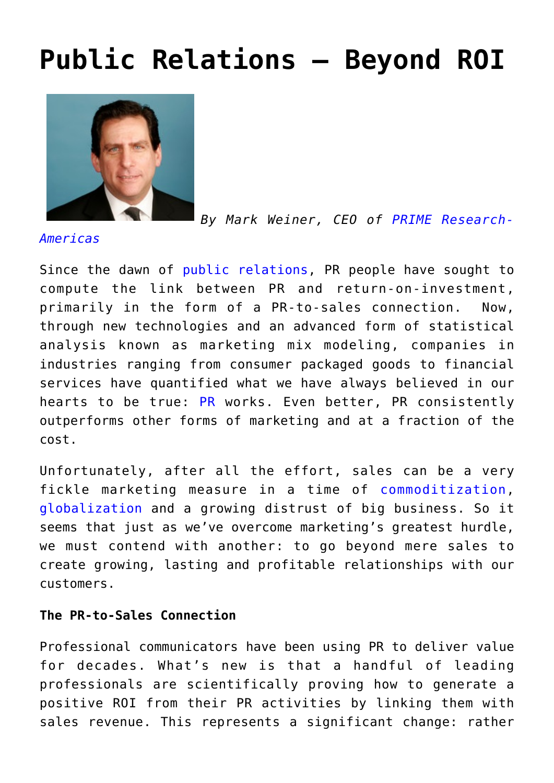# **[Public Relations – Beyond ROI](https://www.commpro.biz/public-relations-a-step-beyond/)**



*By Mark Weiner, CEO of [PRIME Research-](https://www.prime-research.com/index.php)*

*[Americas](https://www.prime-research.com/index.php)*

Since the dawn of [public relations](https://www.commpro.biz/pr-roi-channel/), PR people have sought to compute the link between PR and return-on-investment, primarily in the form of a PR-to-sales connection. Now, through new technologies and an advanced form of statistical analysis known as marketing mix modeling, companies in industries ranging from consumer packaged goods to financial services have quantified what we have always believed in our hearts to be true: [PR](https://www.commpro.biz/pr-roi-channel/) works. Even better, PR consistently outperforms other forms of marketing and at a fraction of the cost.

Unfortunately, after all the effort, sales can be a very fickle marketing measure in a time of [commoditization,](https://en.wikipedia.org/wiki/Commoditization) [globalization](https://en.wikipedia.org/wiki/Globalization) and a growing distrust of big business. So it seems that just as we've overcome marketing's greatest hurdle, we must contend with another: to go beyond mere sales to create growing, lasting and profitable relationships with our customers.

#### **The PR-to-Sales Connection**

Professional communicators have been using PR to deliver value for decades. What's new is that a handful of leading professionals are scientifically proving how to generate a positive ROI from their PR activities by linking them with sales revenue. This represents a significant change: rather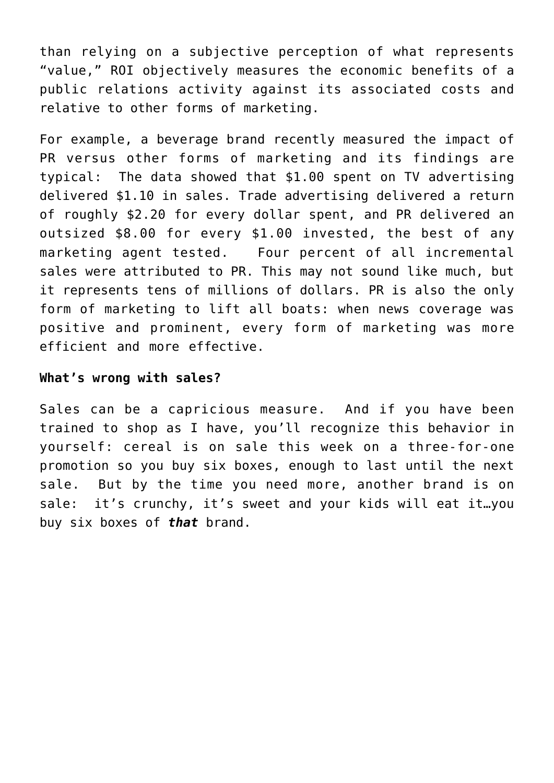than relying on a subjective perception of what represents "value," ROI objectively measures the economic benefits of a public relations activity against its associated costs and relative to other forms of marketing.

For example, a beverage brand recently measured the impact of PR versus other forms of marketing and its findings are typical: The data showed that \$1.00 spent on TV advertising delivered \$1.10 in sales. Trade advertising delivered a return of roughly \$2.20 for every dollar spent, and PR delivered an outsized \$8.00 for every \$1.00 invested, the best of any marketing agent tested. Four percent of all incremental sales were attributed to PR. This may not sound like much, but it represents tens of millions of dollars. PR is also the only form of marketing to lift all boats: when news coverage was positive and prominent, every form of marketing was more efficient and more effective.

#### **What's wrong with sales?**

Sales can be a capricious measure. And if you have been trained to shop as I have, you'll recognize this behavior in yourself: cereal is on sale this week on a three-for-one promotion so you buy six boxes, enough to last until the next sale. But by the time you need more, another brand is on sale: it's crunchy, it's sweet and your kids will eat it…you buy six boxes of *that* brand.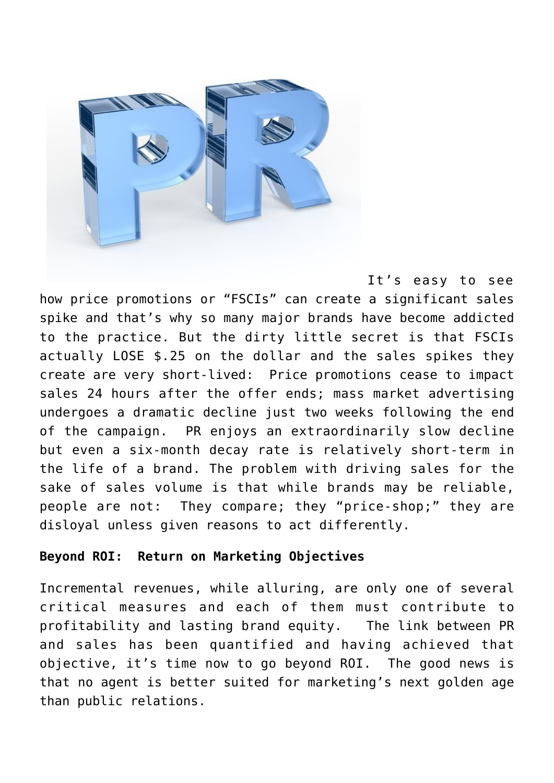

It's easy to see how price promotions or "FSCIs" can create a significant sales spike and that's why so many major brands have become addicted to the practice. But the dirty little secret is that FSCIs actually LOSE \$.25 on the dollar and the sales spikes they create are very short-lived: Price promotions cease to impact sales 24 hours after the offer ends; mass market advertising undergoes a dramatic decline just two weeks following the end of the campaign. PR enjoys an extraordinarily slow decline but even a six-month decay rate is relatively short-term in the life of a brand. The problem with driving sales for the sake of sales volume is that while brands may be reliable, people are not: They compare; they "price-shop;" they are disloyal unless given reasons to act differently.

#### **Beyond ROI: Return on Marketing Objectives**

Incremental revenues, while alluring, are only one of several critical measures and each of them must contribute to profitability and lasting brand equity. The link between PR and sales has been quantified and having achieved that objective, it's time now to go beyond ROI. The good news is that no agent is better suited for marketing's next golden age than public relations.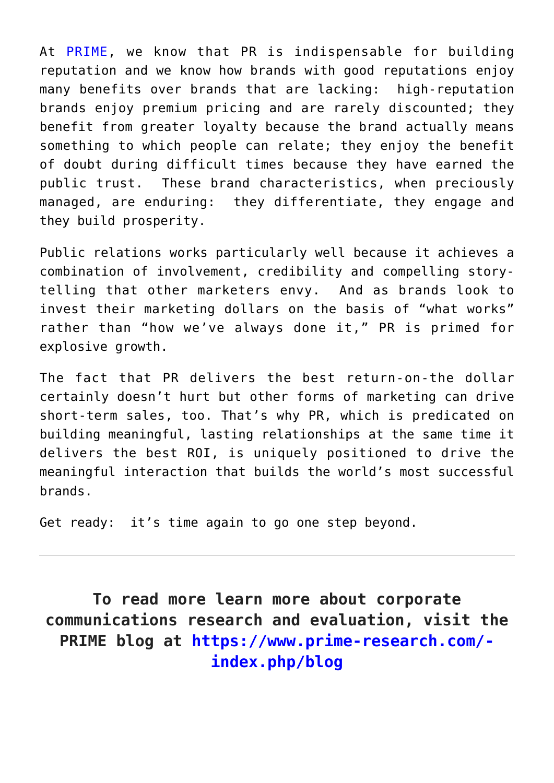At [PRIME](https://www.prime-research.com/), we know that PR is indispensable for building reputation and we know how brands with good reputations enjoy many benefits over brands that are lacking: high-reputation brands enjoy premium pricing and are rarely discounted; they benefit from greater loyalty because the brand actually means something to which people can relate; they enjoy the benefit of doubt during difficult times because they have earned the public trust. These brand characteristics, when preciously managed, are enduring: they differentiate, they engage and they build prosperity.

Public relations works particularly well because it achieves a combination of involvement, credibility and compelling storytelling that other marketers envy. And as brands look to invest their marketing dollars on the basis of "what works" rather than "how we've always done it," PR is primed for explosive growth.

The fact that PR delivers the best return-on-the dollar certainly doesn't hurt but other forms of marketing can drive short-term sales, too. That's why PR, which is predicated on building meaningful, lasting relationships at the same time it delivers the best ROI, is uniquely positioned to drive the meaningful interaction that builds the world's most successful brands.

Get ready: it's time again to go one step beyond.

**To read more learn more about corporate communications research and evaluation, visit the PRIME blog at [https://www.prime-research.com/](https://www.prime-research.com/index.php/blog) [index.php/blog](https://www.prime-research.com/index.php/blog)**